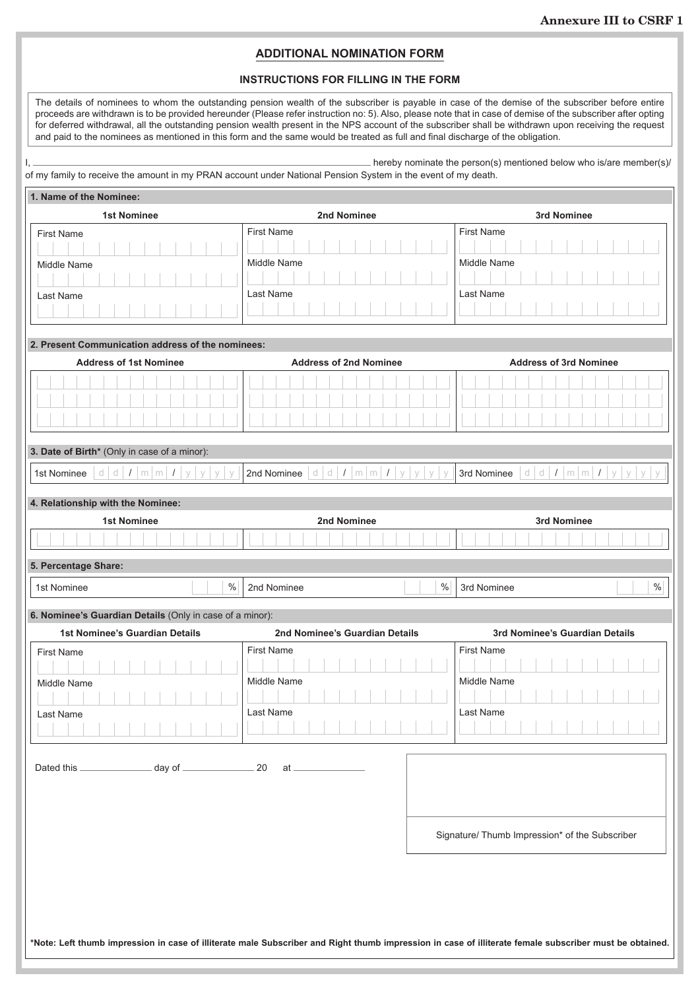## **ADDITIONAL NOMINATION FORM**

## **INSTRUCTIONS FOR FILLING IN THE FORM**

The details of nominees to whom the outstanding pension wealth of the subscriber is payable in case of the demise of the subscriber before entire proceeds are withdrawn is to be provided hereunder (Please refer instruction no: 5). Also, please note that in case of demise of the subscriber after opting for deferred withdrawal, all the outstanding pension wealth present in the NPS account of the subscriber shall be withdrawn upon receiving the request and paid to the nominees as mentioned in this form and the same would be treated as full and final discharge of the obligation.

| hereby nominate the person(s) mentioned below who is/are member(s)/                                           |
|---------------------------------------------------------------------------------------------------------------|
| of my family to receive the amount in my PRAN account under National Pension System in the event of my death. |

| <b>1st Nominee</b><br>2nd Nominee<br>3rd Nominee<br><b>First Name</b><br><b>First Name</b><br><b>First Name</b><br>Middle Name<br>Middle Name<br>Middle Name<br>Last Name<br>Last Name<br>Last Name<br>2. Present Communication address of the nominees:<br><b>Address of 1st Nominee</b><br><b>Address of 2nd Nominee</b><br><b>Address of 3rd Nominee</b><br>3. Date of Birth* (Only in case of a minor):<br>$d \mid d \mid I \mid m \mid m \mid I \mid y \mid y \mid y$<br>d d I m m I y y y<br>1st Nominee<br>2nd Nominee<br>3rd Nominee<br>$\vee$<br>$\vee$<br>4. Relationship with the Nominee:<br><b>1st Nominee</b><br>2nd Nominee<br>3rd Nominee<br>5. Percentage Share:<br>$\%$<br>$\%$<br>$\frac{0}{0}$<br>1st Nominee<br>2nd Nominee<br>3rd Nominee<br>6. Nominee's Guardian Details (Only in case of a minor):<br>1st Nominee's Guardian Details<br>2nd Nominee's Guardian Details<br>3rd Nominee's Guardian Details<br><b>First Name</b><br><b>First Name</b><br><b>First Name</b><br>Middle Name<br>Middle Name<br>Middle Name<br>Last Name<br>Last Name<br>Last Name<br>Dated this ___________________ day of ______________________ 20<br>$at =$<br>Signature/ Thumb Impression* of the Subscriber | 1. Name of the Nominee: |                     |
|---------------------------------------------------------------------------------------------------------------------------------------------------------------------------------------------------------------------------------------------------------------------------------------------------------------------------------------------------------------------------------------------------------------------------------------------------------------------------------------------------------------------------------------------------------------------------------------------------------------------------------------------------------------------------------------------------------------------------------------------------------------------------------------------------------------------------------------------------------------------------------------------------------------------------------------------------------------------------------------------------------------------------------------------------------------------------------------------------------------------------------------------------------------------------------------------------------------------|-------------------------|---------------------|
|                                                                                                                                                                                                                                                                                                                                                                                                                                                                                                                                                                                                                                                                                                                                                                                                                                                                                                                                                                                                                                                                                                                                                                                                                     |                         |                     |
|                                                                                                                                                                                                                                                                                                                                                                                                                                                                                                                                                                                                                                                                                                                                                                                                                                                                                                                                                                                                                                                                                                                                                                                                                     |                         |                     |
|                                                                                                                                                                                                                                                                                                                                                                                                                                                                                                                                                                                                                                                                                                                                                                                                                                                                                                                                                                                                                                                                                                                                                                                                                     |                         |                     |
|                                                                                                                                                                                                                                                                                                                                                                                                                                                                                                                                                                                                                                                                                                                                                                                                                                                                                                                                                                                                                                                                                                                                                                                                                     |                         |                     |
|                                                                                                                                                                                                                                                                                                                                                                                                                                                                                                                                                                                                                                                                                                                                                                                                                                                                                                                                                                                                                                                                                                                                                                                                                     |                         |                     |
|                                                                                                                                                                                                                                                                                                                                                                                                                                                                                                                                                                                                                                                                                                                                                                                                                                                                                                                                                                                                                                                                                                                                                                                                                     |                         |                     |
|                                                                                                                                                                                                                                                                                                                                                                                                                                                                                                                                                                                                                                                                                                                                                                                                                                                                                                                                                                                                                                                                                                                                                                                                                     |                         | d d I m m I y y y y |
|                                                                                                                                                                                                                                                                                                                                                                                                                                                                                                                                                                                                                                                                                                                                                                                                                                                                                                                                                                                                                                                                                                                                                                                                                     |                         |                     |
|                                                                                                                                                                                                                                                                                                                                                                                                                                                                                                                                                                                                                                                                                                                                                                                                                                                                                                                                                                                                                                                                                                                                                                                                                     |                         |                     |
|                                                                                                                                                                                                                                                                                                                                                                                                                                                                                                                                                                                                                                                                                                                                                                                                                                                                                                                                                                                                                                                                                                                                                                                                                     |                         |                     |
|                                                                                                                                                                                                                                                                                                                                                                                                                                                                                                                                                                                                                                                                                                                                                                                                                                                                                                                                                                                                                                                                                                                                                                                                                     |                         |                     |
|                                                                                                                                                                                                                                                                                                                                                                                                                                                                                                                                                                                                                                                                                                                                                                                                                                                                                                                                                                                                                                                                                                                                                                                                                     |                         |                     |
|                                                                                                                                                                                                                                                                                                                                                                                                                                                                                                                                                                                                                                                                                                                                                                                                                                                                                                                                                                                                                                                                                                                                                                                                                     |                         |                     |
|                                                                                                                                                                                                                                                                                                                                                                                                                                                                                                                                                                                                                                                                                                                                                                                                                                                                                                                                                                                                                                                                                                                                                                                                                     |                         |                     |
|                                                                                                                                                                                                                                                                                                                                                                                                                                                                                                                                                                                                                                                                                                                                                                                                                                                                                                                                                                                                                                                                                                                                                                                                                     |                         |                     |
|                                                                                                                                                                                                                                                                                                                                                                                                                                                                                                                                                                                                                                                                                                                                                                                                                                                                                                                                                                                                                                                                                                                                                                                                                     |                         |                     |

**\*Note: Left thumb impression in case of illiterate male Subscriber and Right thumb impression in case of illiterate female subscriber must be obtained.**